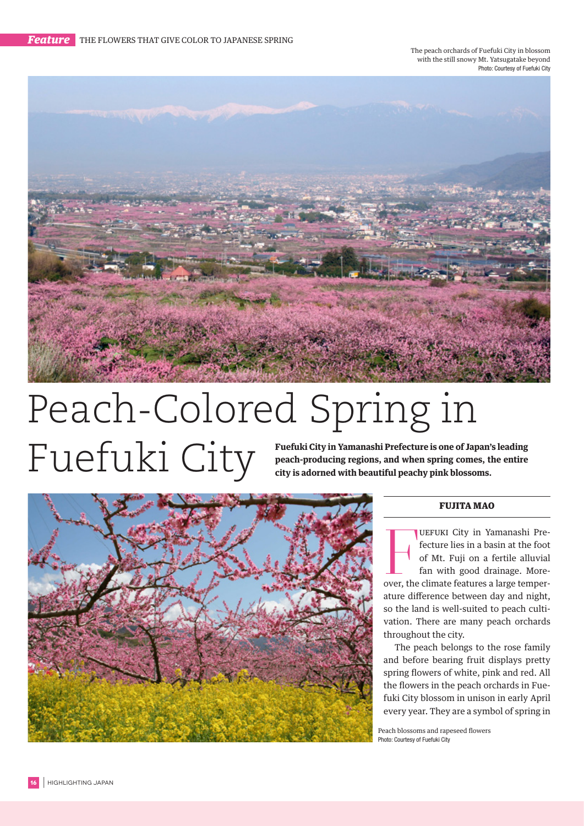The peach orchards of Fuefuki City in blossom with the still snowy Mt. Yatsugatake beyond Photo: Courtesy of Fuefuki City



## Peach-Colored Spring in Fuefuki City in Yamanashi Prefecture is one of Japan's leading<br>reach-producing regions, and when spring comes, the entire<br>city is adorned with beautiful peachy pink blossoms.

**peach-producing regions, and when spring comes, the entire city is adorned with beautiful peachy pink blossoms.**



## FUJITA MAO

**EXECUTE CALCE ISLEM** City in Yamanashi Prefecture lies in a basin at the foot of Mt. Fuji on a fertile alluvial fan with good drainage. Moreover, the climate features a large temper-UEFUKI City in Yamanashi Prefecture lies in a basin at the foot of Mt. Fuji on a fertile alluvial fan with good drainage. Moreature difference between day and night, so the land is well-suited to peach cultivation. There are many peach orchards throughout the city.

The peach belongs to the rose family and before bearing fruit displays pretty spring flowers of white, pink and red. All the flowers in the peach orchards in Fuefuki City blossom in unison in early April every year. They are a symbol of spring in

Peach blossoms and rapeseed flowers Photo: Courtesy of Fuefuki City